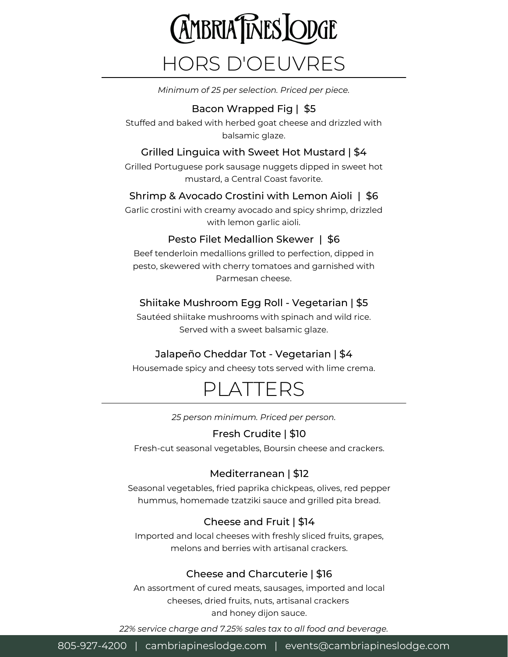# **AMBRIA TIMES LODGE** HORS D'OEUVRES

REHEARSAL DINNER *Minimum of 25 per selection. Priced per piece.*

#### Bacon Wrapped Fig | \$5

Stuffed and baked with herbed goat cheese and drizzled with balsamic glaze.

#### Grilled Linguica with Sweet Hot Mustard | \$4

Grilled Portuguese pork sausage nuggets dipped in sweet hot mustard, a Central Coast favorite.

#### Shrimp & Avocado Crostini with Lemon Aioli | \$6

Garlic crostini with creamy avocado and spicy shrimp, drizzled with lemon garlic aioli.

#### Pesto Filet Medallion Skewer | \$6

Beef tenderloin medallions grilled to perfection, dipped in pesto, skewered with cherry tomatoes and garnished with Parmesan cheese.

#### Shiitake Mushroom Egg Roll - Vegetarian | \$5

Sautéed shiitake mushrooms with spinach and wild rice. Served with a sweet balsamic glaze.

### Jalapeño Cheddar Tot - Vegetarian | \$4

Housemade spicy and cheesy tots served with lime crema.

# PLATTERS

*25 person minimum. Priced per person.*

#### Fresh Crudite | \$10

Fresh-cut seasonal vegetables, Boursin cheese and crackers.

### Mediterranean | \$12

Seasonal vegetables, fried paprika chickpeas, olives, red pepper hummus, homemade tzatziki sauce and grilled pita bread.

### Cheese and Fruit | \$14

Imported and local cheeses with freshly sliced fruits, grapes, melons and berries with artisanal crackers.

#### Cheese and Charcuterie | \$16

An assortment of cured meats, sausages, imported and local cheeses, dried fruits, nuts, artisanal crackers and honey dijon sauce.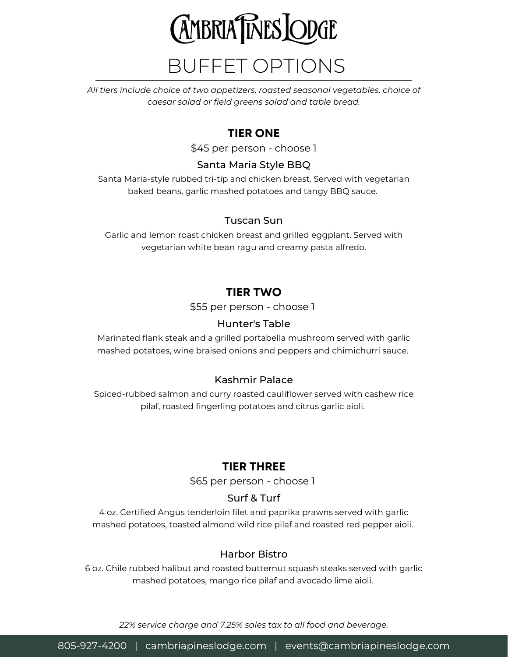

# BUFFET OPTIONS

REHEARSAL DINNER *caesar salad or field greens salad and table bread. All tiers include choice of two appetizers, roasted seasonal vegetables, choice of*

## **TIER ONE**

\$45 per person - choose 1

#### Santa Maria Style BBQ

Santa Maria-style rubbed tri-tip and chicken breast. Served with vegetarian baked beans, garlic mashed potatoes and tangy BBQ sauce.

#### Tuscan Sun

Garlic and lemon roast chicken breast and grilled eggplant. Served with vegetarian white bean ragu and creamy pasta alfredo.

# **TIER TWO**

\$55 per person - choose 1

#### Hunter's Table

Marinated flank steak and a grilled portabella mushroom served with garlic mashed potatoes, wine braised onions and peppers and chimichurri sauce.

#### Kashmir Palace

Spiced-rubbed salmon and curry roasted cauliflower served with cashew rice pilaf, roasted fingerling potatoes and citrus garlic aioli.

### **TIER THREE**

\$65 per person - choose 1

#### Surf & Turf

4 oz. Certified Angus tenderloin filet and paprika prawns served with garlic mashed potatoes, toasted almond wild rice pilaf and roasted red pepper aioli.

#### Harbor Bistro

6 oz. Chile rubbed halibut and roasted butternut squash steaks served with garlic mashed potatoes, mango rice pilaf and avocado lime aioli.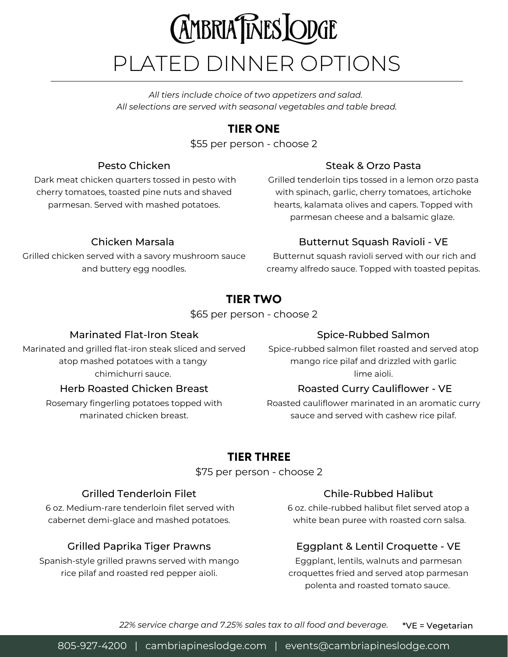# **AMBRIA TIMES LODGE** PLATED DINNER OPTIONS

REHEARSAL DINNER *All selections are served with seasonal vegetables and table bread. All tiers include choice of two appetizers and salad.*

# **TIER ONE**

\$55 per person - choose 2

#### Pesto Chicken

Dark meat chicken quarters tossed in pesto with cherry tomatoes, toasted pine nuts and shaved parmesan. Served with mashed potatoes.

#### Steak & Orzo Pasta

Grilled tenderloin tips tossed in a lemon orzo pasta with spinach, garlic, cherry tomatoes, artichoke hearts, kalamata olives and capers. Topped with parmesan cheese and a balsamic glaze.

#### Chicken Marsala

Grilled chicken served with a savory mushroom sauce and buttery egg noodles.

#### Butternut Squash Ravioli - VE

Butternut squash ravioli served with our rich and creamy alfredo sauce. Topped with toasted pepitas.

# **TIER TWO**

\$65 per person - choose 2

#### Marinated Flat-Iron Steak

Marinated and grilled flat-iron steak sliced and served atop mashed potatoes with a tangy chimichurri sauce.

#### Herb Roasted Chicken Breast

Rosemary fingerling potatoes topped with marinated chicken breast.

#### Spice-Rubbed Salmon

Spice-rubbed salmon filet roasted and served atop mango rice pilaf and drizzled with garlic lime aioli.

#### Roasted Curry Cauliflower - VE

Roasted cauliflower marinated in an aromatic curry sauce and served with cashew rice pilaf.

# **TIER THREE**

#### \$75 per person - choose 2

#### Grilled Tenderloin Filet

6 oz. Medium-rare tenderloin filet served with cabernet demi-glace and mashed potatoes.

#### Grilled Paprika Tiger Prawns

Spanish-style grilled prawns served with mango rice pilaf and roasted red pepper aioli.

#### Chile-Rubbed Halibut

6 oz. chile-rubbed halibut filet served atop a white bean puree with roasted corn salsa.

#### Eggplant & Lentil Croquette - VE

Eggplant, lentils, walnuts and parmesan croquettes fried and served atop parmesan polenta and roasted tomato sauce.

*22% service charge and 7.25% sales tax to all food and beverage.* \*VE = Vegetarian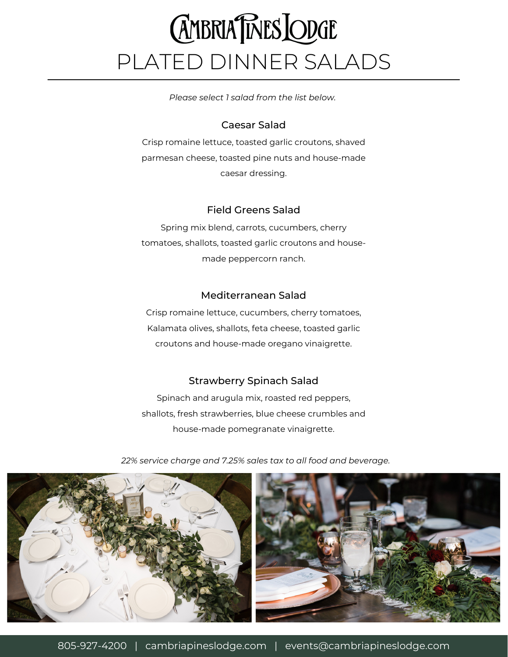# **AMBRIA TIMES LODGE** PLATED DINNER SALADS

REHEARSAL DINNER *Please select 1 salad from the list below.*

#### Caesar Salad

Crisp romaine lettuce, toasted garlic croutons, shaved parmesan cheese, toasted pine nuts and house-made caesar dressing.

#### Field Greens Salad

Spring mix blend, carrots, cucumbers, cherry tomatoes, shallots, toasted garlic croutons and housemade peppercorn ranch.

#### Mediterranean Salad

Crisp romaine lettuce, cucumbers, cherry tomatoes, Kalamata olives, shallots, feta cheese, toasted garlic croutons and house-made oregano vinaigrette.

#### Strawberry Spinach Salad

Spinach and arugula mix, roasted red peppers, shallots, fresh strawberries, blue cheese crumbles and house-made pomegranate vinaigrette.